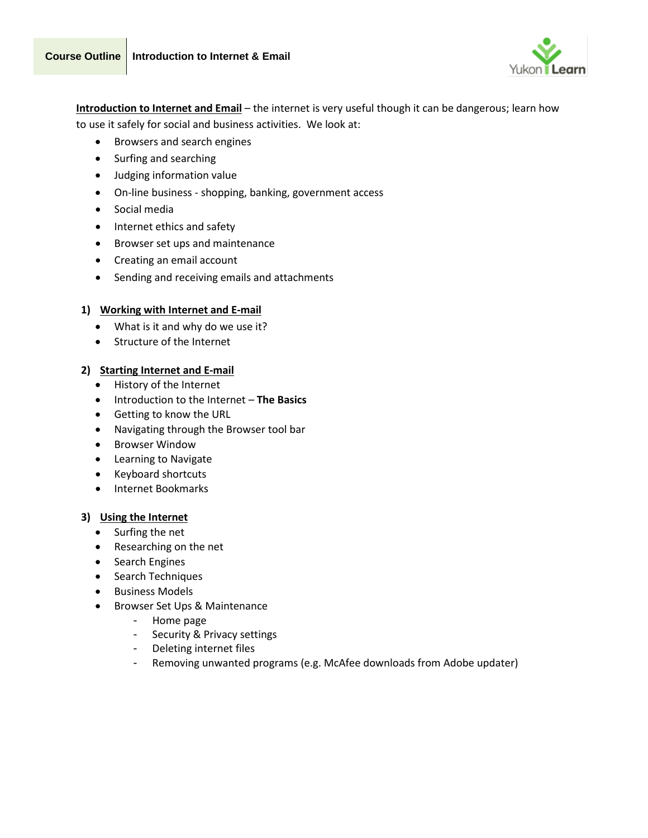



**Introduction to Internet and Email** – the internet is very useful though it can be dangerous; learn how to use it safely for social and business activities. We look at:

- Browsers and search engines
- Surfing and searching
- Judging information value
- On-line business shopping, banking, government access
- Social media
- Internet ethics and safety
- Browser set ups and maintenance
- Creating an email account
- Sending and receiving emails and attachments

## **1) Working with Internet and E-mail**

- What is it and why do we use it?
- Structure of the Internet

## **2) Starting Internet and E-mail**

- History of the Internet
- Introduction to the Internet **The Basics**
- Getting to know the URL
- Navigating through the Browser tool bar
- Browser Window
- Learning to Navigate
- Keyboard shortcuts
- Internet Bookmarks

#### **3) Using the Internet**

- Surfing the net
- Researching on the net
- Search Engines
- Search Techniques
- Business Models
- Browser Set Ups & Maintenance
	- Home page
	- Security & Privacy settings
	- Deleting internet files
	- Removing unwanted programs (e.g. McAfee downloads from Adobe updater)